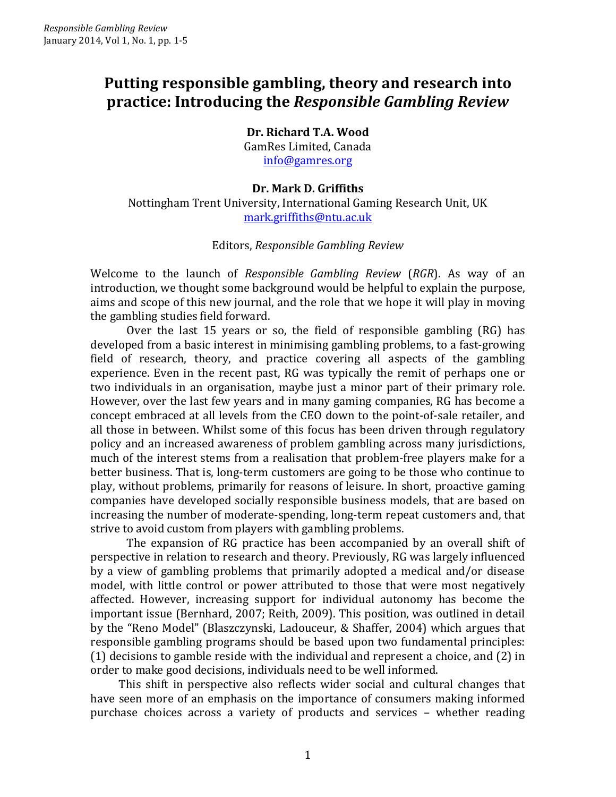## **Putting responsible gambling, theory and research into practice: Introducing the** *Responsible Gambling Review*

**Dr. Richard T.A. Wood** GamRes Limited, Canada info@gamres.org

**Dr. Mark D. Griffiths** Nottingham Trent University, International Gaming Research Unit, UK mark.griffiths@ntu.ac.uk

## Editors, *Responsible Gambling Review*

Welcome to the launch of *Responsible Gambling Review* (*RGR*). As way of an introduction, we thought some background would be helpful to explain the purpose, aims and scope of this new journal, and the role that we hope it will play in moving the gambling studies field forward.

Over the last 15 years or so, the field of responsible gambling  $(RG)$  has developed from a basic interest in minimising gambling problems, to a fast-growing field of research, theory, and practice covering all aspects of the gambling experience. Even in the recent past, RG was typically the remit of perhaps one or two individuals in an organisation, maybe just a minor part of their primary role. However, over the last few years and in many gaming companies, RG has become a concept embraced at all levels from the CEO down to the point-of-sale retailer, and all those in between. Whilst some of this focus has been driven through regulatory policy and an increased awareness of problem gambling across many jurisdictions, much of the interest stems from a realisation that problem-free players make for a better business. That is, long-term customers are going to be those who continue to play, without problems, primarily for reasons of leisure. In short, proactive gaming companies have developed socially responsible business models, that are based on increasing the number of moderate-spending, long-term repeat customers and, that strive to avoid custom from players with gambling problems.

The expansion of RG practice has been accompanied by an overall shift of perspective in relation to research and theory. Previously, RG was largely influenced by a view of gambling problems that primarily adopted a medical and/or disease model, with little control or power attributed to those that were most negatively affected. However, increasing support for individual autonomy has become the important issue (Bernhard, 2007; Reith, 2009). This position, was outlined in detail by the "Reno Model" (Blaszczynski, Ladouceur, & Shaffer, 2004) which argues that responsible gambling programs should be based upon two fundamental principles:  $(1)$  decisions to gamble reside with the individual and represent a choice, and  $(2)$  in order to make good decisions, individuals need to be well informed.

This shift in perspective also reflects wider social and cultural changes that have seen more of an emphasis on the importance of consumers making informed purchase choices across a variety of products and services - whether reading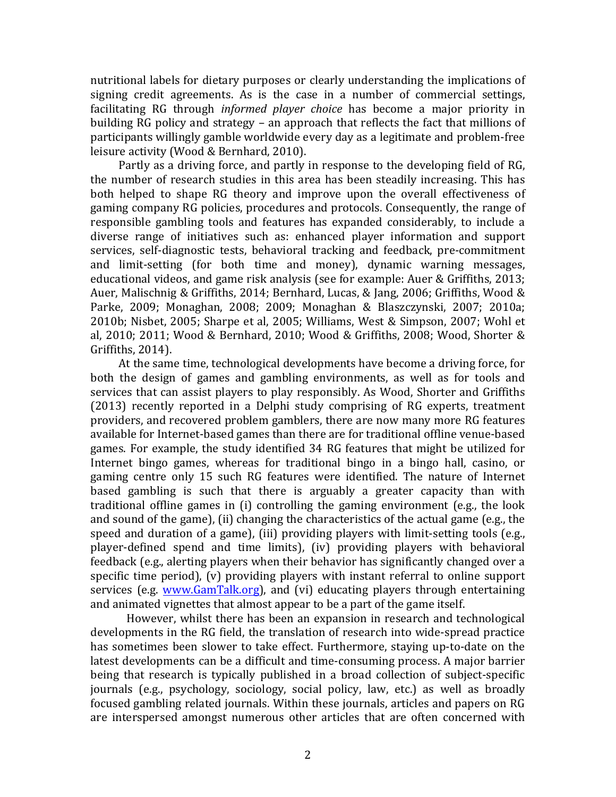nutritional labels for dietary purposes or clearly understanding the implications of signing credit agreements. As is the case in a number of commercial settings, facilitating RG through *informed player choice* has become a major priority in building RG policy and strategy – an approach that reflects the fact that millions of participants willingly gamble worldwide every day as a legitimate and problem-free leisure activity (Wood & Bernhard, 2010).

Partly as a driving force, and partly in response to the developing field of RG, the number of research studies in this area has been steadily increasing. This has both helped to shape RG theory and improve upon the overall effectiveness of gaming company RG policies, procedures and protocols. Consequently, the range of responsible gambling tools and features has expanded considerably, to include a diverse range of initiatives such as: enhanced player information and support services, self-diagnostic tests, behavioral tracking and feedback, pre-commitment and limit-setting (for both time and money), dynamic warning messages, educational videos, and game risk analysis (see for example: Auer & Griffiths, 2013; Auer, Malischnig & Griffiths, 2014; Bernhard, Lucas, & Jang, 2006; Griffiths, Wood & Parke, 2009; Monaghan, 2008; 2009; Monaghan & Blaszczynski, 2007; 2010a; 2010b; Nisbet, 2005; Sharpe et al, 2005; Williams, West & Simpson, 2007; Wohl et al, 2010; 2011; Wood & Bernhard, 2010; Wood & Griffiths, 2008; Wood, Shorter & Griffiths, 2014).

At the same time, technological developments have become a driving force, for both the design of games and gambling environments, as well as for tools and services that can assist players to play responsibly. As Wood, Shorter and Griffiths (2013) recently reported in a Delphi study comprising of RG experts, treatment providers, and recovered problem gamblers, there are now many more RG features available for Internet-based games than there are for traditional offline venue-based games. For example, the study identified 34 RG features that might be utilized for Internet bingo games, whereas for traditional bingo in a bingo hall, casino, or gaming centre only 15 such RG features were identified. The nature of Internet based gambling is such that there is arguably a greater capacity than with traditional offline games in  $(i)$  controlling the gaming environment  $(e.g., the look$ and sound of the game), (ii) changing the characteristics of the actual game (e.g., the speed and duration of a game), (iii) providing players with limit-setting tools (e.g., player-defined spend and time limits), (iv) providing players with behavioral feedback (e.g., alerting players when their behavior has significantly changed over a specific time period),  $(v)$  providing players with instant referral to online support services (e.g. www.GamTalk.org), and (vi) educating players through entertaining and animated vignettes that almost appear to be a part of the game itself.

However, whilst there has been an expansion in research and technological developments in the RG field, the translation of research into wide-spread practice has sometimes been slower to take effect. Furthermore, staying up-to-date on the latest developments can be a difficult and time-consuming process. A major barrier being that research is typically published in a broad collection of subject-specific journals (e.g., psychology, sociology, social policy, law, etc.) as well as broadly focused gambling related journals. Within these journals, articles and papers on RG are interspersed amongst numerous other articles that are often concerned with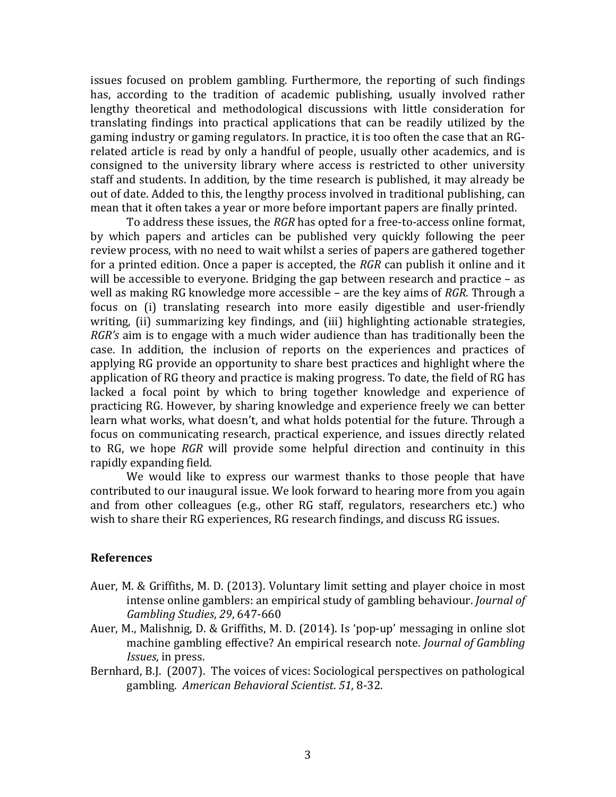issues focused on problem gambling. Furthermore, the reporting of such findings has, according to the tradition of academic publishing, usually involved rather lengthy theoretical and methodological discussions with little consideration for translating findings into practical applications that can be readily utilized by the gaming industry or gaming regulators. In practice, it is too often the case that an RGrelated article is read by only a handful of people, usually other academics, and is consigned to the university library where access is restricted to other university staff and students. In addition, by the time research is published, it may already be out of date. Added to this, the lengthy process involved in traditional publishing, can mean that it often takes a year or more before important papers are finally printed.

To address these issues, the *RGR* has opted for a free-to-access online format, by which papers and articles can be published very quickly following the peer review process, with no need to wait whilst a series of papers are gathered together for a printed edition. Once a paper is accepted, the *RGR* can publish it online and it will be accessible to everyone. Bridging the gap between research and practice  $-$  as well as making RG knowledge more accessible – are the key aims of *RGR*. Through a focus on (i) translating research into more easily digestible and user-friendly writing, (ii) summarizing key findings, and (iii) highlighting actionable strategies, *RGR's* aim is to engage with a much wider audience than has traditionally been the case. In addition, the inclusion of reports on the experiences and practices of applying RG provide an opportunity to share best practices and highlight where the application of RG theory and practice is making progress. To date, the field of RG has lacked a focal point by which to bring together knowledge and experience of practicing RG. However, by sharing knowledge and experience freely we can better learn what works, what doesn't, and what holds potential for the future. Through a focus on communicating research, practical experience, and issues directly related to RG, we hope *RGR* will provide some helpful direction and continuity in this rapidly expanding field.

We would like to express our warmest thanks to those people that have contributed to our inaugural issue. We look forward to hearing more from you again and from other colleagues (e.g., other RG staff, regulators, researchers etc.) who wish to share their RG experiences, RG research findings, and discuss RG issues.

## **References**

- Auer, M. & Griffiths, M. D. (2013). Voluntary limit setting and player choice in most intense online gamblers: an empirical study of gambling behaviour. *Journal of Gambling Studies*, *29*, 647-660
- Auer, M., Malishnig, D. & Griffiths, M. D. (2014). Is 'pop-up' messaging in online slot machine gambling effective? An empirical research note. *Journal of Gambling Issues*, in press.
- Bernhard, B.J. (2007). The voices of vices: Sociological perspectives on pathological gambling. *American Behavioral Scientist*. *51*, 8-32.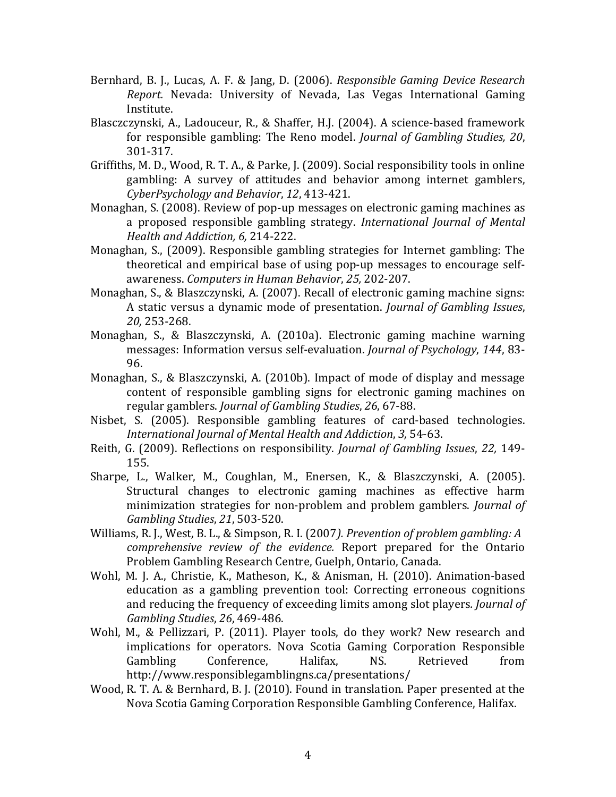- Bernhard, B. J., Lucas, A. F. & Jang, D. (2006). *Responsible Gaming Device Research Report.* Nevada: University of Nevada, Las Vegas International Gaming Institute.
- Blasczczynski, A., Ladouceur, R., & Shaffer, H.J. (2004). A science-based framework for responsible gambling: The Reno model. *Journal of Gambling Studies, 20*, 301-317.
- Griffiths, M. D., Wood, R. T. A., & Parke, J. (2009). Social responsibility tools in online gambling: A survey of attitudes and behavior among internet gamblers, *CyberPsychology and Behavior*, *12*, 413-421.
- Monaghan, S. (2008). Review of pop-up messages on electronic gaming machines as a proposed responsible gambling strategy. *International Journal of Mental Health and Addiction, 6,* 214-222.
- Monaghan, S., (2009). Responsible gambling strategies for Internet gambling: The theoretical and empirical base of using pop-up messages to encourage selfawareness. *Computers in Human Behavior*, *25,* 202-207.
- Monaghan, S., & Blaszczynski, A. (2007). Recall of electronic gaming machine signs: A static versus a dynamic mode of presentation. *Journal of Gambling Issues*, *20,* 253-268.
- Monaghan, S., & Blaszczynski, A. (2010a). Electronic gaming machine warning messages: Information versus self-evaluation. *Journal of Psychology*, 144, 83-96.
- Monaghan, S., & Blaszczynski, A. (2010b). Impact of mode of display and message content of responsible gambling signs for electronic gaming machines on regular gamblers. *Journal of Gambling Studies*, 26, 67-88.
- Nisbet, S. (2005). Responsible gambling features of card-based technologies. *International Journal of Mental Health and Addiction*, *3,* 54-63.
- Reith, G. (2009). Reflections on responsibility. *Journal of Gambling Issues*, 22, 149-155.
- Sharpe, L., Walker, M., Coughlan, M., Enersen, K., & Blaszczynski, A. (2005). Structural changes to electronic gaming machines as effective harm minimization strategies for non-problem and problem gamblers. *Journal of Gambling Studies*, *21*, 503-520.
- Williams, R. J., West, B. L., & Simpson, R. I. (2007). Prevention of problem gambling: A *comprehensive review of the evidence.* Report prepared for the Ontario Problem Gambling Research Centre, Guelph, Ontario, Canada.
- Wohl, M. J. A., Christie, K., Matheson, K., & Anisman, H. (2010). Animation-based education as a gambling prevention tool: Correcting erroneous cognitions and reducing the frequency of exceeding limits among slot players. *Journal of Gambling Studies*, *26*, 469-486.
- Wohl, M., & Pellizzari, P. (2011). Player tools, do they work? New research and implications for operators. Nova Scotia Gaming Corporation Responsible Gambling Conference. Halifax. NS. Retrieved from http://www.responsiblegamblingns.ca/presentations/
- Wood, R. T. A. & Bernhard, B. J. (2010). Found in translation. Paper presented at the Nova Scotia Gaming Corporation Responsible Gambling Conference, Halifax.